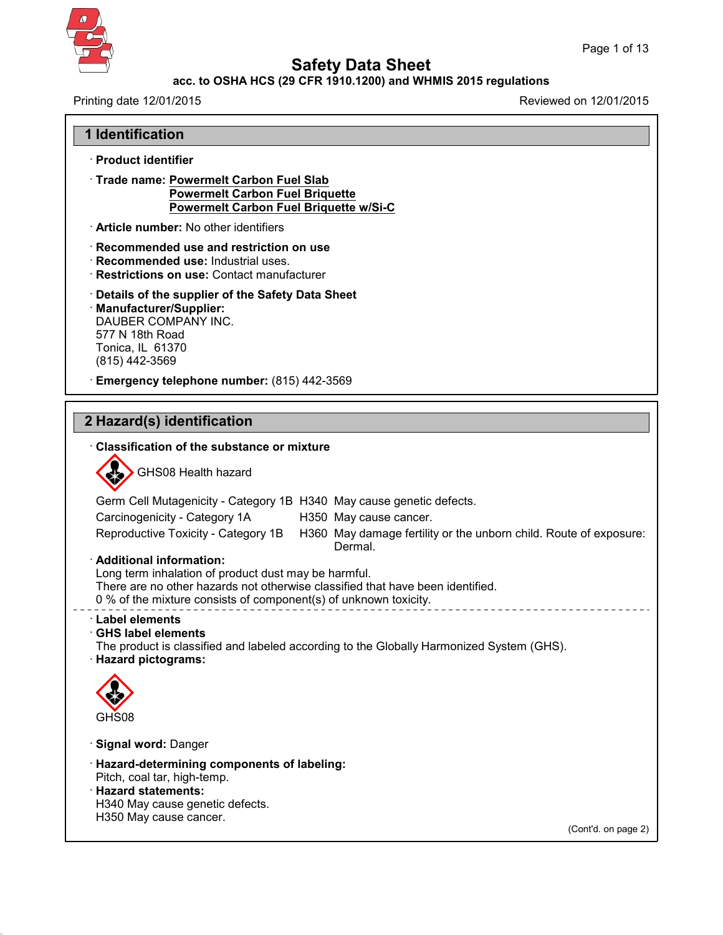

**Safety Data Sheet**

### **acc. to OSHA HCS (29 CFR 1910.1200) and WHMIS 2015 regulations**

Printing date 12/01/2015 Reviewed on 12/01/2015

**1 Identification**

· **Product identifier**

| · Trade name: Powermelt Carbon Fuel Slab<br><b>Powermelt Carbon Fuel Briquette</b><br>Powermelt Carbon Fuel Briquette w/Si-C                                                                                                            |
|-----------------------------------------------------------------------------------------------------------------------------------------------------------------------------------------------------------------------------------------|
| Article number: No other identifiers                                                                                                                                                                                                    |
| · Recommended use and restriction on use<br>· Recommended use: Industrial uses.<br>· Restrictions on use: Contact manufacturer                                                                                                          |
| Details of the supplier of the Safety Data Sheet<br>· Manufacturer/Supplier:<br>DAUBER COMPANY INC.<br>577 N 18th Road<br>Tonica, IL 61370<br>(815) 442-3569                                                                            |
| Emergency telephone number: (815) 442-3569                                                                                                                                                                                              |
|                                                                                                                                                                                                                                         |
| 2 Hazard(s) identification                                                                                                                                                                                                              |
| <b>Classification of the substance or mixture</b>                                                                                                                                                                                       |
| GHS08 Health hazard                                                                                                                                                                                                                     |
| Germ Cell Mutagenicity - Category 1B H340 May cause genetic defects.                                                                                                                                                                    |
| Carcinogenicity - Category 1A<br>H350 May cause cancer.                                                                                                                                                                                 |
| Reproductive Toxicity - Category 1B H360 May damage fertility or the unborn child. Route of exposure:<br>Dermal.                                                                                                                        |
| · Additional information:<br>Long term inhalation of product dust may be harmful.<br>There are no other hazards not otherwise classified that have been identified.<br>0 % of the mixture consists of component(s) of unknown toxicity. |
| <b>Label elements</b><br>$\cdot$ GHS label elements<br>The product is classified and labeled according to the Globally Harmonized System (GHS).<br>· Hazard pictograms:                                                                 |
| $\heartsuit$                                                                                                                                                                                                                            |
| GHS08                                                                                                                                                                                                                                   |
| · Signal word: Danger                                                                                                                                                                                                                   |
| · Hazard-determining components of labeling:                                                                                                                                                                                            |
| Pitch, coal tar, high-temp.<br>· Hazard statements:                                                                                                                                                                                     |
| H340 May cause genetic defects.                                                                                                                                                                                                         |
| H350 May cause cancer.<br>(Cont'd. on page 2)                                                                                                                                                                                           |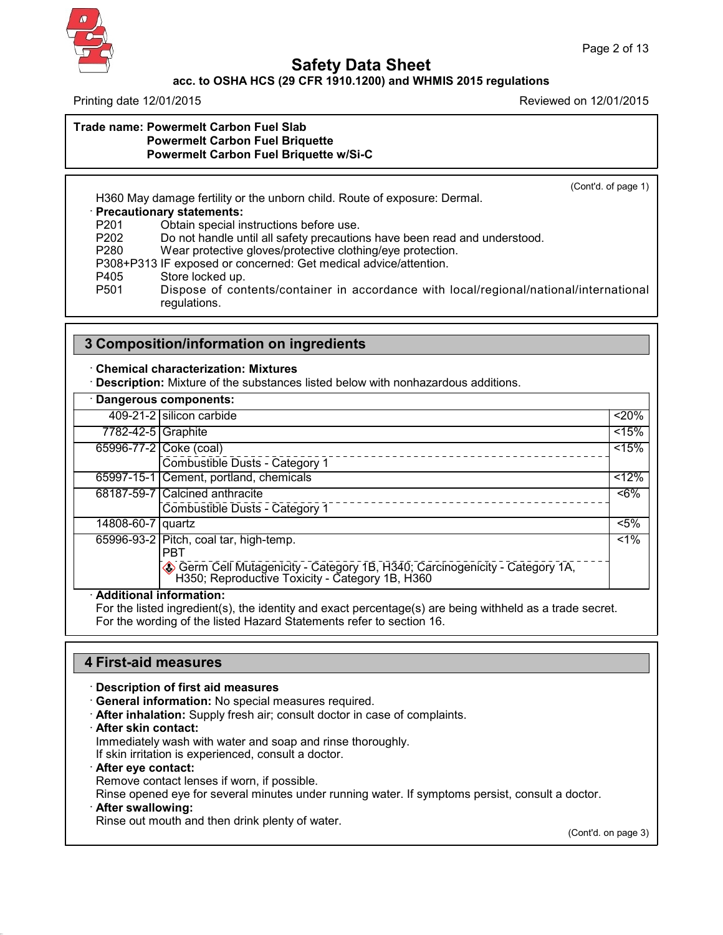

#### **acc. to OSHA HCS (29 CFR 1910.1200) and WHMIS 2015 regulations**

Printing date 12/01/2015 Reviewed on 12/01/2015

#### **Trade name: Powermelt Carbon Fuel Slab Powermelt Carbon Fuel Briquette Powermelt Carbon Fuel Briquette w/Si-C**

(Cont'd. of page 1)

H360 May damage fertility or the unborn child. Route of exposure: Dermal.

· **Precautionary statements:**

P201 Obtain special instructions before use.<br>P202 Do not handle until all safety precaution

P202 Do not handle until all safety precautions have been read and understood.<br>P280 Wear protective gloves/protective clothing/eve protection.

Wear protective gloves/protective clothing/eye protection.

P308+P313 IF exposed or concerned: Get medical advice/attention.

P405 Store locked up.

P501 Dispose of contents/container in accordance with local/regional/national/international regulations.

## **3 Composition/information on ingredients**

#### · **Chemical characterization: Mixtures**

· **Description:** Mixture of the substances listed below with nonhazardous additions.

|                    | · Dangerous components:                                                                                                                                                                                                          |        |
|--------------------|----------------------------------------------------------------------------------------------------------------------------------------------------------------------------------------------------------------------------------|--------|
|                    | 409-21-2 silicon carbide                                                                                                                                                                                                         | 20%    |
| 7782-42-5 Graphite |                                                                                                                                                                                                                                  | < 15%  |
|                    | 65996-77-2 Coke (coal)                                                                                                                                                                                                           | < 15%  |
|                    | Combustible Dusts - Category 1                                                                                                                                                                                                   |        |
|                    | 65997-15-1 Cement, portland, chemicals                                                                                                                                                                                           | $12\%$ |
|                    | 68187-59-7 Calcined anthracite                                                                                                                                                                                                   | $~5\%$ |
|                    | Combustible Dusts - Category 1                                                                                                                                                                                                   |        |
| 14808-60-7 quartz  |                                                                                                                                                                                                                                  | $5\%$  |
|                    | 65996-93-2 Pitch, coal tar, high-temp.                                                                                                                                                                                           | $1\%$  |
|                    |                                                                                                                                                                                                                                  |        |
|                    |                                                                                                                                                                                                                                  |        |
|                    | <b>PBT</b><br>Germ Cell Mutagenicity - Category 1B, H340; Carcinogenicity - Category 1A, H350; Reproductive Toxicity - Category 1B, H360<br>$\blacksquare$ . It is that the second that $\blacksquare$ is a second of the second |        |

#### · **Additional information:**

For the listed ingredient(s), the identity and exact percentage(s) are being withheld as a trade secret. For the wording of the listed Hazard Statements refer to section 16.

### **4 First-aid measures**

· **Description of first aid measures**

- · **General information:** No special measures required.
- · **After inhalation:** Supply fresh air; consult doctor in case of complaints.
- · **After skin contact:**

Immediately wash with water and soap and rinse thoroughly.

If skin irritation is experienced, consult a doctor.

· **After eye contact:**

Remove contact lenses if worn, if possible.

Rinse opened eye for several minutes under running water. If symptoms persist, consult a doctor.

· **After swallowing:**

42.0.1

Rinse out mouth and then drink plenty of water.

(Cont'd. on page 3)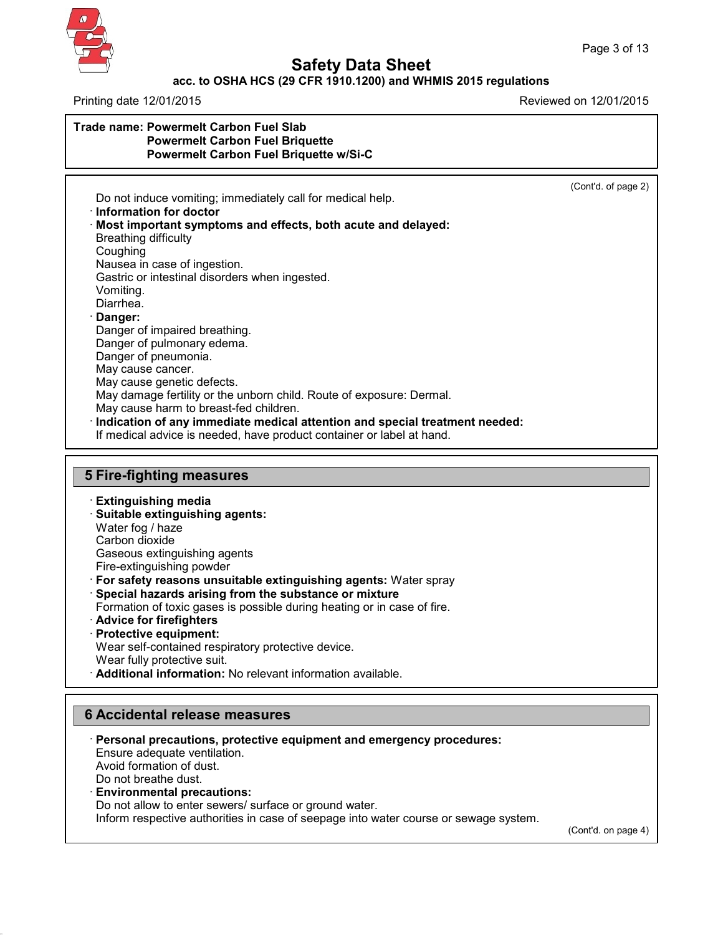

#### **acc. to OSHA HCS (29 CFR 1910.1200) and WHMIS 2015 regulations**

Printing date 12/01/2015 Reviewed on 12/01/2015

#### **Trade name: Powermelt Carbon Fuel Slab Powermelt Carbon Fuel Briquette Powermelt Carbon Fuel Briquette w/Si-C**

(Cont'd. of page 2)

Do not induce vomiting; immediately call for medical help. · **Information fordoctor** · **Most important symptoms and effects, both acute and delayed:** Breathing difficulty Coughing Nausea in case of ingestion. Gastric or intestinal disorders when ingested. Vomiting. Diarrhea. · **Danger:** Danger of impaired breathing. Danger of pulmonary edema. Danger of pneumonia. May cause cancer. May cause genetic defects. May damage fertility or the unborn child. Route of exposure: Dermal. May cause harm to breast-fed children. · **Indication of any immediate medical attention and special treatment needed:** If medical advice is needed, have product container or label at hand. **5 Fire-fighting measures** · **Extinguishing media**

- · **Suitable extinguishing agents:**
- Water fog / haze Carbon dioxide
- Gaseous extinguishing agents
- Fire-extinguishing powder
- · **For safety reasons unsuitable extinguishing agents:** Water spray
- · **Special hazards arising from the substance or mixture**
- Formation of toxic gases is possible during heating or in case of fire.
- · **Advice for firefighters**
- · **Protective equipment:**
- Wear self-contained respiratory protective device.
- Wear fully protective suit.

42.0.1

· **Additional information:** No relevant information available.

# **6 Accidental release measures**



(Cont'd. on page 4)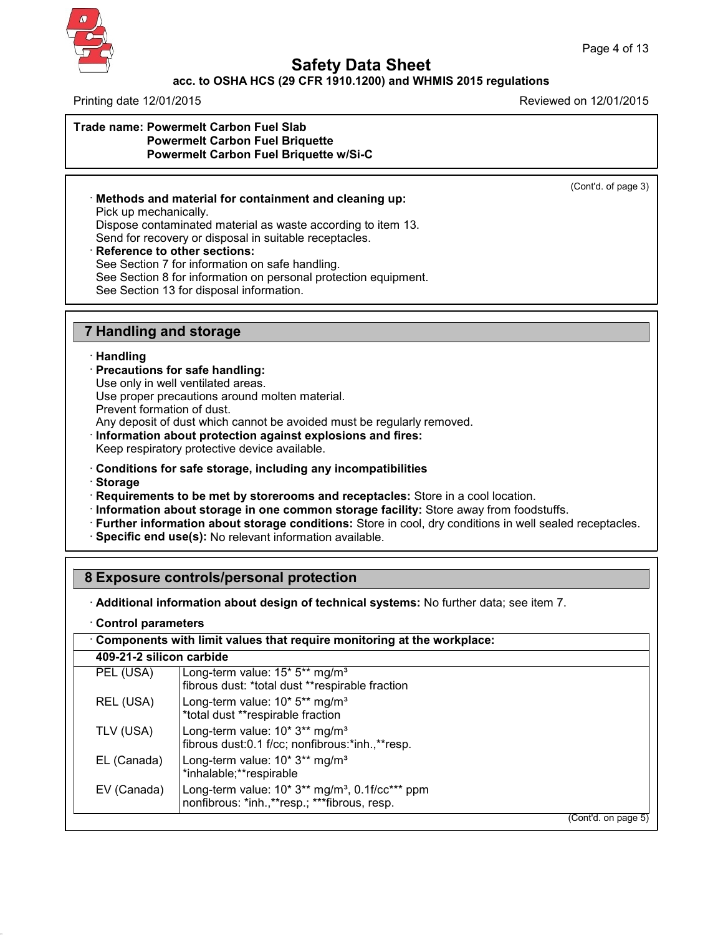

#### **acc. to OSHA HCS (29 CFR 1910.1200) and WHMIS 2015 regulations**

Printing date 12/01/2015 Reviewed on 12/01/2015

#### **Trade name: Powermelt Carbon Fuel Slab Powermelt Carbon Fuel Briquette Powermelt Carbon Fuel Briquette w/Si-C**

(Cont'd. of page 3)

· **Methods and material for containment and cleaning up:** Pick up mechanically. Dispose contaminated material as waste according to item 13. Send for recovery or disposal in suitable receptacles.

### · **Reference to other sections:**

See Section 7 for information on safe handling.

See Section 8 for information on personal protection equipment.

See Section 13 for disposal information.

### **7 Handling and storage**

#### · **Handling**

- · **Precautions for safe handling:**
- Use only in well ventilated areas.

Use proper precautions around molten material.

Prevent formation of dust.

Any deposit of dust which cannot be avoided must be regularly removed.

· **Information about protection against explosions and fires:**

Keep respiratory protective device available.

- · **Conditions for safe storage, including any incompatibilities**
- · **Storage**

42.0.1

· **Requirements to be met by storerooms and receptacles:** Store in a cool location.

- · **Information about storage in one common storage facility:** Store away from foodstuffs.
- · **Further information about storage conditions:** Store in cool, dry conditions in well sealed receptacles.
- · **Specific end use(s):** No relevant information available.

## **8 Exposure controls/personal protection**

· **Additional information about design of technical systems:** No further data; see item 7.

· **Control parameters**

| Components with limit values that require monitoring at the workplace: |                                                                                                                           |  |  |  |
|------------------------------------------------------------------------|---------------------------------------------------------------------------------------------------------------------------|--|--|--|
| 409-21-2 silicon carbide                                               |                                                                                                                           |  |  |  |
| PEL (USA)                                                              | Long-term value: $15*5**$ mg/m <sup>3</sup><br>fibrous dust: *total dust **respirable fraction                            |  |  |  |
| REL (USA)                                                              | Long-term value: 10* 5** mg/m <sup>3</sup><br>*total dust **respirable fraction                                           |  |  |  |
| TLV (USA)                                                              | Long-term value: 10* 3** mg/m <sup>3</sup><br>fibrous dust:0.1 f/cc; nonfibrous:*inh.,**resp.                             |  |  |  |
| EL (Canada)                                                            | Long-term value: 10* 3** mg/m <sup>3</sup><br>*inhalable;**respirable                                                     |  |  |  |
| EV (Canada)                                                            | Long-term value: $10* 3**$ mg/m <sup>3</sup> , 0.1f/cc <sup>***</sup> ppm<br>nonfibrous: *inh.,**resp.; ***fibrous, resp. |  |  |  |
|                                                                        | (Cont'd. on page 5)                                                                                                       |  |  |  |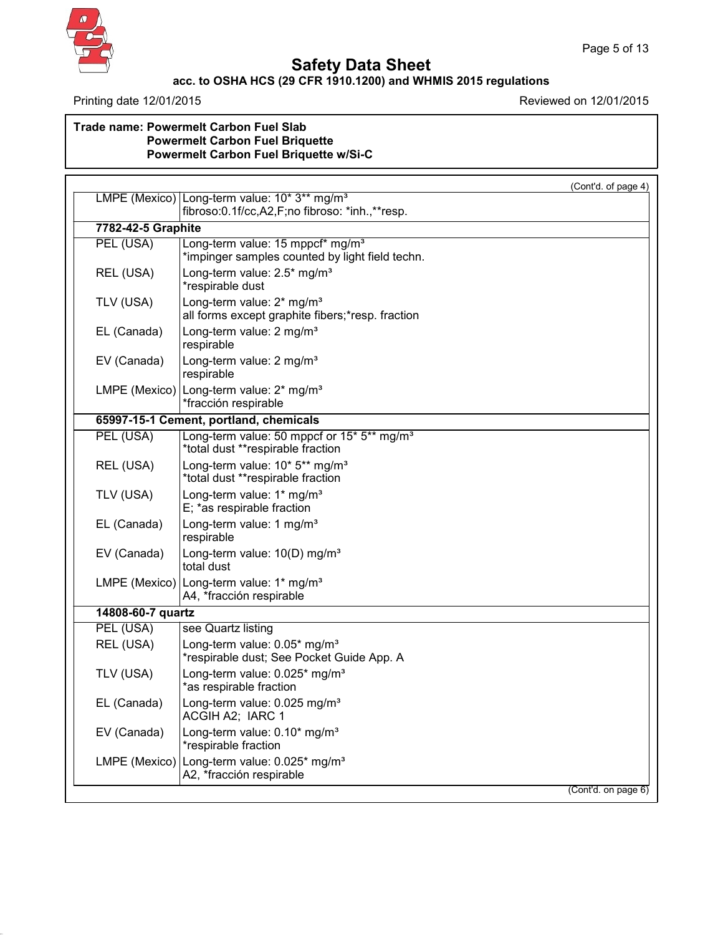

# **Safety Data Sheet**

### **acc. to OSHA HCS (29 CFR 1910.1200) and WHMIS 2015 regulations**

Page 5 of 13

Printing date 12/01/2015 Printing date 12/01/2015

### **Trade name: Powermelt Carbon Fuel Slab Powermelt Carbon Fuel Briquette Powermelt Carbon Fuel Briquette w/Si-C**

|                    | (Cont'd. of page 4)                                                                             |
|--------------------|-------------------------------------------------------------------------------------------------|
|                    | LMPE (Mexico) Long-term value: 10* 3** mg/m <sup>3</sup>                                        |
|                    | fibroso:0.1f/cc,A2,F;no fibroso: *inh.,**resp.                                                  |
| 7782-42-5 Graphite |                                                                                                 |
| PEL (USA)          | Long-term value: 15 mppcf* mg/m <sup>3</sup><br>*impinger samples counted by light field techn. |
| REL (USA)          | Long-term value: 2.5* mg/m <sup>3</sup><br>*respirable dust                                     |
| TLV (USA)          | Long-term value: 2* mg/m <sup>3</sup><br>all forms except graphite fibers;*resp. fraction       |
| EL (Canada)        | Long-term value: 2 mg/m <sup>3</sup><br>respirable                                              |
| EV (Canada)        | Long-term value: 2 mg/m <sup>3</sup><br>respirable                                              |
|                    | LMPE (Mexico)   Long-term value: 2* mg/m <sup>3</sup><br>*fracción respirable                   |
|                    | 65997-15-1 Cement, portland, chemicals                                                          |
| PEL (USA)          | Long-term value: 50 mppcf or 15* 5** mg/m <sup>3</sup><br>*total dust **respirable fraction     |
| REL (USA)          | Long-term value: 10* 5** mg/m <sup>3</sup><br>*total dust **respirable fraction                 |
| TLV (USA)          | Long-term value: 1* mg/m <sup>3</sup><br>E; *as respirable fraction                             |
| EL (Canada)        | Long-term value: 1 mg/m <sup>3</sup><br>respirable                                              |
| EV (Canada)        | Long-term value: 10(D) mg/m <sup>3</sup><br>total dust                                          |
|                    | LMPE (Mexico)   Long-term value: 1* mg/m <sup>3</sup><br>A4, *fracción respirable               |
| 14808-60-7 quartz  |                                                                                                 |
| PEL (USA)          | see Quartz listing                                                                              |
| REL (USA)          | Long-term value: 0.05* mg/m <sup>3</sup><br>*respirable dust; See Pocket Guide App. A           |
| TLV (USA)          | Long-term value: 0.025* mg/m <sup>3</sup><br>*as respirable fraction                            |
| EL (Canada)        | Long-term value: 0.025 mg/m <sup>3</sup><br>ACGIH A2; IARC 1                                    |
| EV (Canada)        | Long-term value: 0.10* mg/m <sup>3</sup><br>*respirable fraction                                |
|                    | LMPE (Mexico) Long-term value: 0.025* mg/m <sup>3</sup><br>A2, *fracción respirable             |
|                    | (Cont'd. on page 6)                                                                             |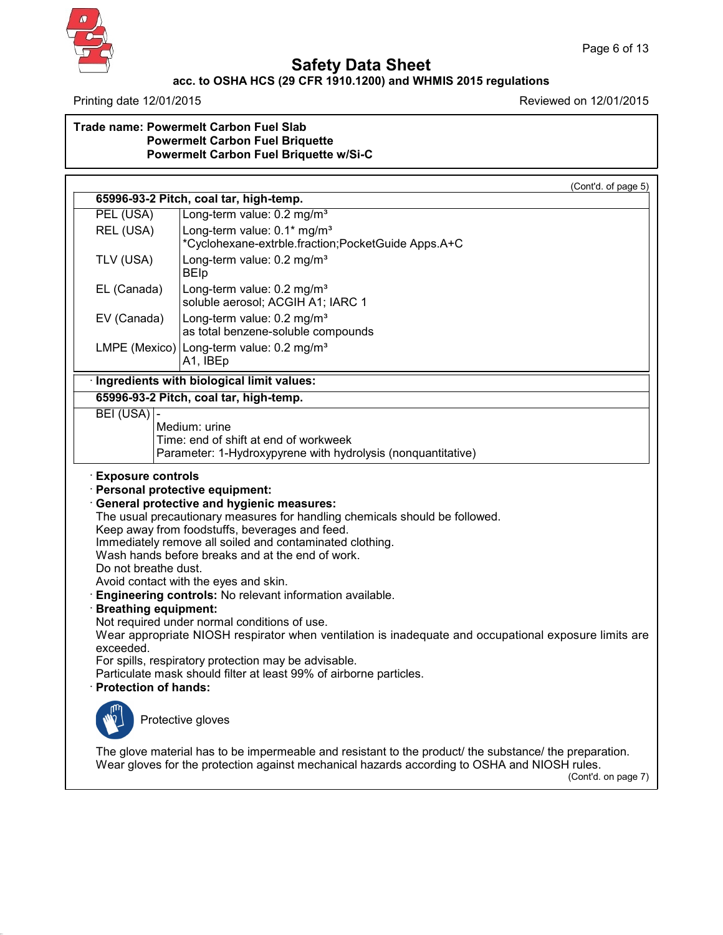

# **Safety Data Sheet**

## **acc. to OSHA HCS (29 CFR 1910.1200) and WHMIS 2015 regulations**

Page 6 of 13

Printing date 12/01/2015 Printing date 12/01/2015

### **Trade name: Powermelt Carbon Fuel Slab Powermelt Carbon Fuel Briquette Powermelt Carbon Fuel Briquette w/Si-C**

|                                                                                 | (Cont'd. of page 5)<br>65996-93-2 Pitch, coal tar, high-temp.                                                                                                                                                                                                                                                                                                                                                                            |
|---------------------------------------------------------------------------------|------------------------------------------------------------------------------------------------------------------------------------------------------------------------------------------------------------------------------------------------------------------------------------------------------------------------------------------------------------------------------------------------------------------------------------------|
| PEL (USA)                                                                       | Long-term value: 0.2 mg/m <sup>3</sup>                                                                                                                                                                                                                                                                                                                                                                                                   |
| REL (USA)                                                                       | Long-term value: 0.1* mg/m <sup>3</sup><br>*Cyclohexane-extrble.fraction;PocketGuide Apps.A+C                                                                                                                                                                                                                                                                                                                                            |
| TLV (USA)                                                                       | Long-term value: 0.2 mg/m <sup>3</sup><br><b>BEIp</b>                                                                                                                                                                                                                                                                                                                                                                                    |
| EL (Canada)                                                                     | Long-term value: 0.2 mg/m <sup>3</sup><br>soluble aerosol; ACGIH A1; IARC 1                                                                                                                                                                                                                                                                                                                                                              |
| EV (Canada)                                                                     | Long-term value: 0.2 mg/m <sup>3</sup><br>as total benzene-soluble compounds                                                                                                                                                                                                                                                                                                                                                             |
|                                                                                 | LMPE (Mexico)   Long-term value: 0.2 mg/m <sup>3</sup><br>A1, IBEp                                                                                                                                                                                                                                                                                                                                                                       |
|                                                                                 | · Ingredients with biological limit values:                                                                                                                                                                                                                                                                                                                                                                                              |
|                                                                                 | 65996-93-2 Pitch, coal tar, high-temp.                                                                                                                                                                                                                                                                                                                                                                                                   |
| <b>Exposure controls</b><br>Do not breathe dust.<br><b>Breathing equipment:</b> | Personal protective equipment:<br><b>General protective and hygienic measures:</b><br>The usual precautionary measures for handling chemicals should be followed.<br>Keep away from foodstuffs, beverages and feed.<br>Immediately remove all soiled and contaminated clothing.<br>Wash hands before breaks and at the end of work.<br>Avoid contact with the eyes and skin.<br>Engineering controls: No relevant information available. |
| exceeded.<br><b>Protection of hands:</b>                                        | Not required under normal conditions of use.<br>Wear appropriate NIOSH respirator when ventilation is inadequate and occupational exposure limits are<br>For spills, respiratory protection may be advisable.<br>Particulate mask should filter at least 99% of airborne particles.                                                                                                                                                      |
| Protective gloves                                                               |                                                                                                                                                                                                                                                                                                                                                                                                                                          |
|                                                                                 |                                                                                                                                                                                                                                                                                                                                                                                                                                          |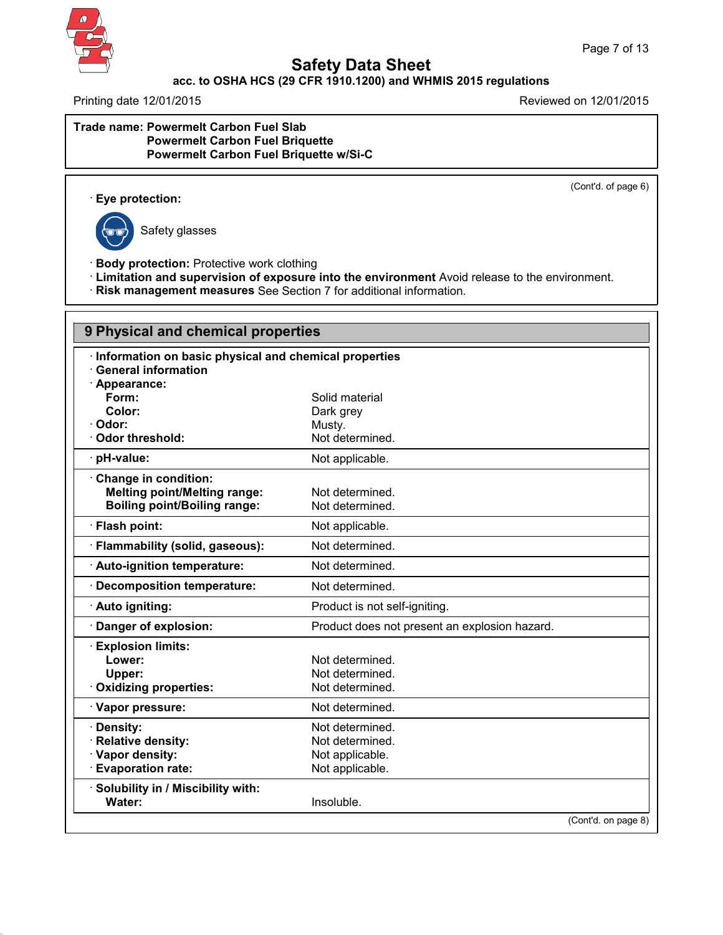

### **acc. to OSHA HCS (29 CFR 1910.1200) and WHMIS 2015 regulations**

Printing date 12/01/2015 **Reviewed on 12/01/2015** 

#### **Trade name: Powermelt Carbon Fuel Slab Powermelt Carbon Fuel Briquette Powermelt Carbon Fuel Briquette w/Si-C**

(Cont'd. of page 6)

· **Eye protection:**



42.0.1

Safety glasses

· **Body protection:** Protective work clothing

· **Limitation and supervision of exposure into the environment** Avoid release to the environment.

· **Risk management measures** See Section 7 for additional information.

| 9 Physical and chemical properties                    |                                               |
|-------------------------------------------------------|-----------------------------------------------|
| Information on basic physical and chemical properties |                                               |
| <b>General information</b>                            |                                               |
| Appearance:                                           |                                               |
| Form:                                                 | Solid material                                |
| Color:                                                | Dark grey                                     |
| · Odor:                                               | Musty.                                        |
| Odor threshold:                                       | Not determined.                               |
| · pH-value:                                           | Not applicable.                               |
| Change in condition:                                  |                                               |
| <b>Melting point/Melting range:</b>                   | Not determined.                               |
| <b>Boiling point/Boiling range:</b>                   | Not determined.                               |
| · Flash point:                                        | Not applicable.                               |
| · Flammability (solid, gaseous):                      | Not determined.                               |
| · Auto-ignition temperature:                          | Not determined.                               |
| Decomposition temperature:                            | Not determined.                               |
| · Auto igniting:                                      | Product is not self-igniting.                 |
| Danger of explosion:                                  | Product does not present an explosion hazard. |
| <b>Explosion limits:</b>                              |                                               |
| Lower:                                                | Not determined.                               |
| Upper:                                                | Not determined.                               |
| Oxidizing properties:                                 | Not determined.                               |
| Vapor pressure:                                       | Not determined.                               |
| · Density:                                            | Not determined.                               |
| Relative density:                                     | Not determined.                               |
| · Vapor density:                                      | Not applicable.                               |
| <b>Evaporation rate:</b>                              | Not applicable.                               |
| · Solubility in / Miscibility with:                   |                                               |
| Water:                                                | Insoluble.                                    |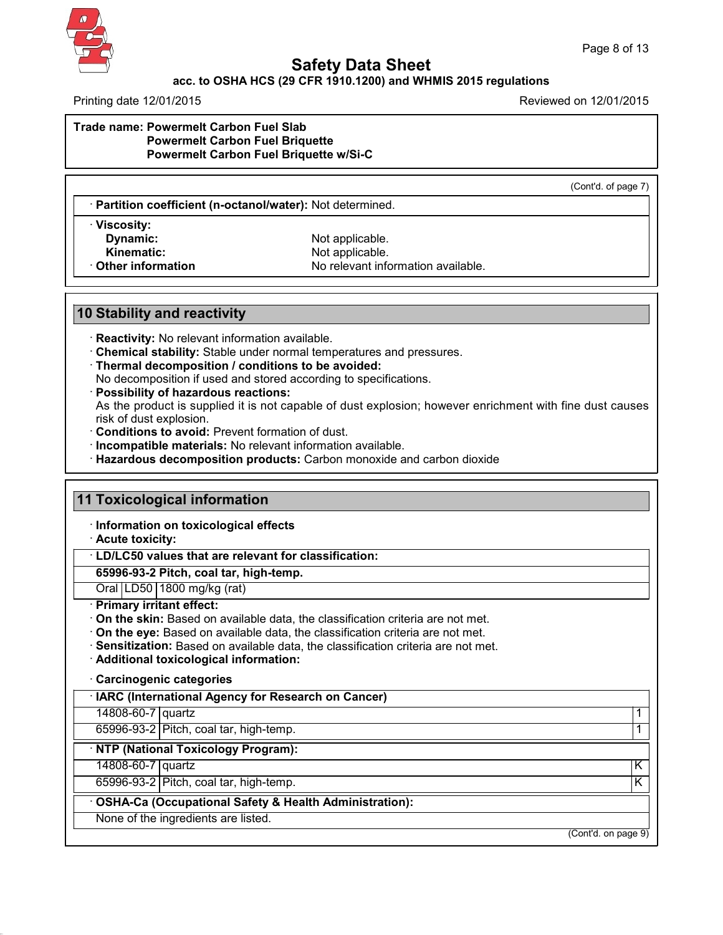

#### **acc. to OSHA HCS (29 CFR 1910.1200) and WHMIS 2015 regulations**

Printing date 12/01/2015 Reviewed on 12/01/2015

**Trade name: Powermelt Carbon Fuel Slab Powermelt Carbon Fuel Briquette Powermelt Carbon Fuel Briquette w/Si-C**

(Cont'd. of page 7)

· **Partition coefficient (n-octanol/water):** Not determined.

· **Viscosity:**

Not applicable. **Kinematic:** Not applicable.<br> **Other information**<br>
No relevant info **No relevant information available.** 

### **10 Stability and reactivity**

· **Reactivity:** No relevant information available.

· **Chemical stability:** Stable under normal temperatures and pressures.

· **Thermal decomposition / conditions to be avoided:**

No decomposition if used and stored according to specifications.

· **Possibility of hazardous reactions:**

As the product is supplied it is not capable of dust explosion; however enrichment with fine dust causes risk of dust explosion.

· **Conditions to avoid:** Prevent formation of dust.

· **Incompatible materials:** No relevant information available.

· **Hazardous decomposition products:** Carbon monoxide and carbon dioxide

# **11 Toxicological information** · **Information on toxicological effects** · **Acute toxicity:** · **LD/LC50 values that are relevant for classification: 65996-93-2 Pitch, coal tar, high-temp.** Oral LD50 1800 mg/kg (rat) · **Primary irritant effect:** · **On the skin:** Based on available data, the classification criteria are not met. · **On the eye:** Based on available data, the classification criteria are not met. · **Sensitization:** Based on available data, the classification criteria are not met. · **Additional toxicological information:** · **Carcinogenic categories** · **IARC (International Agency for Research on Cancer)** 14808-60-7 quartz 1 65996-93-2 Pitch, coal tar, high-temp. 1

· **NTP (National Toxicology Program):**

14808-60-7 quartz K

42.0.1

65996-93-2 Pitch, coal tar, high-temp. K

· **OSHA-Ca (Occupational Safety & Health Administration):**

None of the ingredients are listed.

(Cont'd. on page 9)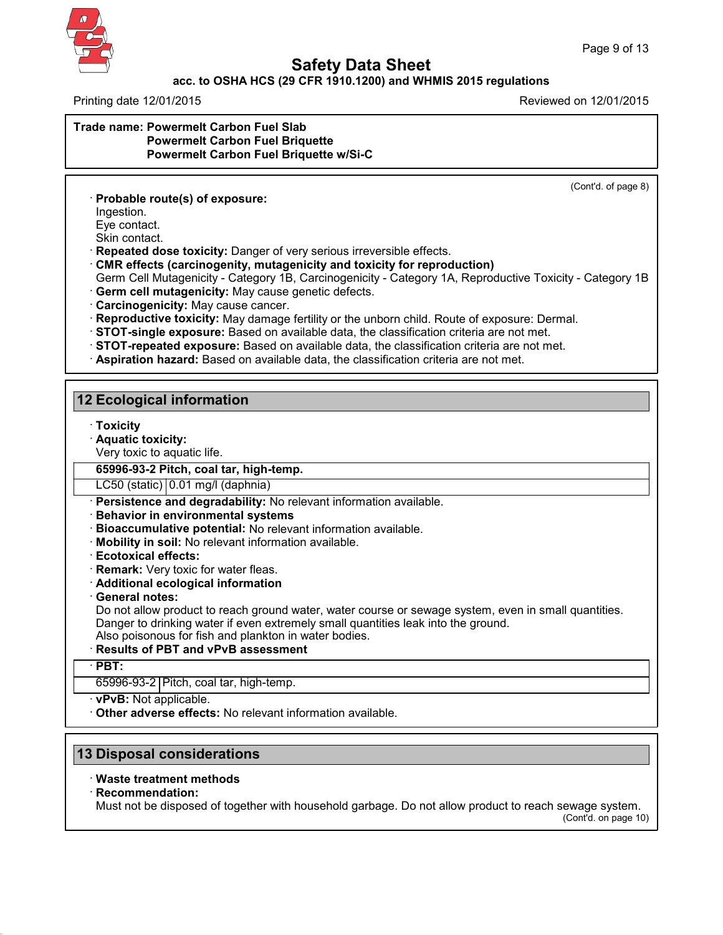

### **acc. to OSHA HCS (29 CFR 1910.1200) and WHMIS 2015 regulations**

Printing date 12/01/2015 Reviewed on 12/01/2015

**Trade name: Powermelt Carbon Fuel Slab Powermelt Carbon Fuel Briquette Powermelt Carbon Fuel Briquette w/Si-C**

(Cont'd. of page 8)

· **Probable route(s) of exposure:**

Ingestion. Eye contact.

Skin contact.

· **Repeated dose toxicity:** Danger of very serious irreversible effects.

· **CMR effects (carcinogenity, mutagenicity and toxicity for reproduction)**

Germ Cell Mutagenicity - Category 1B, Carcinogenicity - Category 1A, Reproductive Toxicity - Category 1B · **Germ cell mutagenicity:** May cause genetic defects.

- · **Carcinogenicity:** May cause cancer.
- · **Reproductive toxicity:** May damage fertility or the unborn child. Route of exposure: Dermal.
- · **STOT-single exposure:** Based on available data, the classification criteria are not met.
- · **STOT-repeated exposure:** Based on available data, the classification criteria are not met.
- · **Aspiration hazard:** Based on available data, the classification criteria are not met.

### **12 Ecological information**

- · **Toxicity**
- · **Aquatic toxicity:**
- Very toxic to aquatic life.

### **65996-93-2 Pitch, coal tar, high-temp.**

LC50 (static) 0.01 mg/l (daphnia)

- · **Persistence and degradability:** No relevant information available.
- · **Behavior in environmental systems**
- · **Bioaccumulative potential:** No relevant information available.
- · **Mobility in soil:** No relevant information available.
- · **Ecotoxical effects:**
- · **Remark:** Very toxic for water fleas.
- · **Additional ecological information**
- · **General notes:**

Do not allow product to reach ground water, water course or sewage system, even in small quantities. Danger to drinking water if even extremely small quantities leak into the ground.

Also poisonous for fish and plankton in water bodies.

# · **Results of PBT and vPvB assessment**

### · **PBT:**

42.0.1

65996-93-2 Pitch, coal tar, high-temp.

#### · **vPvB:** Not applicable.

· **Other adverse effects:** No relevant information available.

## **13 Disposal considerations**

#### · **Waste treatment methods**

#### · **Recommendation:**

Must not be disposed of together with household garbage. Do not allow product to reach sewage system. (Cont'd. on page 10)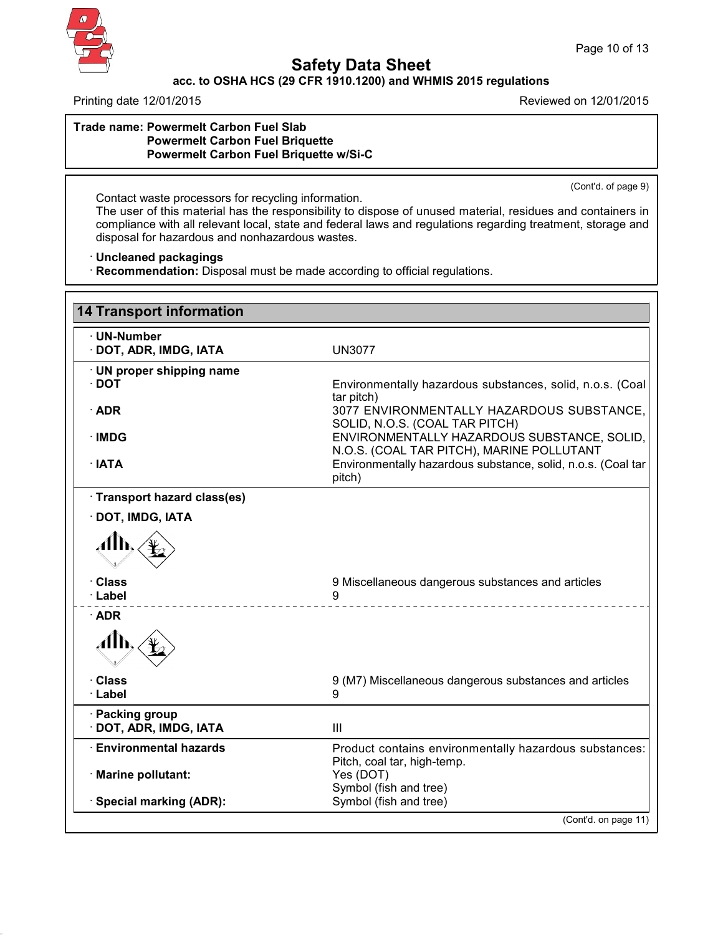

# **Safety Data Sheet**

# **acc. to OSHA HCS (29 CFR 1910.1200) and WHMIS 2015 regulations**

Printing date 12/01/2015 **Reviewed on 12/01/2015** 

#### **Trade name: Powermelt Carbon Fuel Slab Powermelt Carbon Fuel Briquette Powermelt Carbon Fuel Briquette w/Si-C**

(Cont'd. of page 9)

Contact waste processors for recycling information. The user of this material has the responsibility to dispose of unused material, residues and containers in compliance with all relevant local, state and federal laws and regulations regarding treatment, storage and disposal for hazardous and nonhazardous wastes.

· **Uncleaned packagings**

· **Recommendation:** Disposal must be made according to official regulations.

| <b>14 Transport information</b>           |                                                                                          |
|-------------------------------------------|------------------------------------------------------------------------------------------|
| · UN-Number<br>· DOT, ADR, IMDG, IATA     | <b>UN3077</b>                                                                            |
| · UN proper shipping name<br>$\cdot$ DOT  | Environmentally hazardous substances, solid, n.o.s. (Coal<br>tar pitch)                  |
| $\cdot$ ADR                               | 3077 ENVIRONMENTALLY HAZARDOUS SUBSTANCE,<br>SOLID, N.O.S. (COAL TAR PITCH)              |
| · IMDG                                    | ENVIRONMENTALLY HAZARDOUS SUBSTANCE, SOLID,<br>N.O.S. (COAL TAR PITCH), MARINE POLLUTANT |
| $\cdot$ IATA                              | Environmentally hazardous substance, solid, n.o.s. (Coal tar<br>pitch)                   |
| · Transport hazard class(es)              |                                                                                          |
| · DOT, IMDG, IATA                         |                                                                                          |
| ÆЖ                                        |                                                                                          |
| · Class<br>· Label                        | 9 Miscellaneous dangerous substances and articles<br>9                                   |
| $\cdot$ ADR                               |                                                                                          |
| АЉ                                        |                                                                                          |
| · Class<br>· Label                        | 9 (M7) Miscellaneous dangerous substances and articles<br>9                              |
| · Packing group<br>· DOT, ADR, IMDG, IATA | III                                                                                      |
| <b>Environmental hazards</b>              | Product contains environmentally hazardous substances:<br>Pitch, coal tar, high-temp.    |
| · Marine pollutant:                       | Yes (DOT)<br>Symbol (fish and tree)                                                      |
| · Special marking (ADR):                  | Symbol (fish and tree)                                                                   |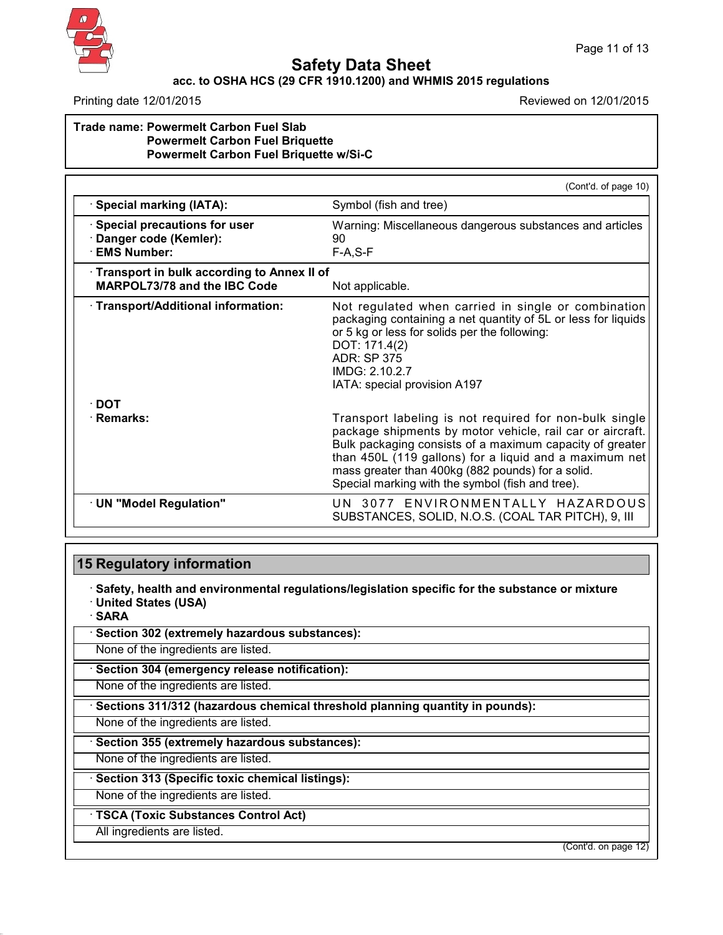

### **acc. to OSHA HCS (29 CFR 1910.1200) and WHMIS 2015 regulations**

Printing date 12/01/2015 Reviewed on 12/01/2015

#### **Trade name: Powermelt Carbon Fuel Slab Powermelt Carbon Fuel Briquette Powermelt Carbon Fuel Briquette w/Si-C**

|                                                                                     | (Cont'd. of page 10)                                                                                                                                                                                                                                                                                                                               |
|-------------------------------------------------------------------------------------|----------------------------------------------------------------------------------------------------------------------------------------------------------------------------------------------------------------------------------------------------------------------------------------------------------------------------------------------------|
| <b>Special marking (IATA):</b>                                                      | Symbol (fish and tree)                                                                                                                                                                                                                                                                                                                             |
| Special precautions for user<br>Danger code (Kemler):<br><b>EMS Number:</b>         | Warning: Miscellaneous dangerous substances and articles<br>90<br>$F-A, S-F$                                                                                                                                                                                                                                                                       |
| · Transport in bulk according to Annex II of<br><b>MARPOL73/78 and the IBC Code</b> | Not applicable.                                                                                                                                                                                                                                                                                                                                    |
| · Transport/Additional information:                                                 | Not regulated when carried in single or combination<br>packaging containing a net quantity of 5L or less for liquids<br>or 5 kg or less for solids per the following:<br>DOT: 171.4(2)<br>ADR: SP 375<br>IMDG: 2.10.2.7<br>IATA: special provision A197                                                                                            |
| $\cdot$ DOT                                                                         |                                                                                                                                                                                                                                                                                                                                                    |
| · Remarks:                                                                          | Transport labeling is not required for non-bulk single<br>package shipments by motor vehicle, rail car or aircraft.<br>Bulk packaging consists of a maximum capacity of greater<br>than 450L (119 gallons) for a liquid and a maximum net<br>mass greater than 400kg (882 pounds) for a solid.<br>Special marking with the symbol (fish and tree). |
| · UN "Model Regulation"                                                             | UN 3077 ENVIRONMENTALLY HAZARDOUS<br>SUBSTANCES, SOLID, N.O.S. (COAL TAR PITCH), 9, III                                                                                                                                                                                                                                                            |
|                                                                                     |                                                                                                                                                                                                                                                                                                                                                    |

## **15 Regulatory information**

· **Safety, health and environmental regulations/legislation specific for the substance or mixture** · **United States (USA)**

· **SARA**

42.0.1

· **Section 302 (extremely hazardous substances):**

None of the ingredients are listed.

· **Section 304 (emergency release notification):**

None of the ingredients are listed.

· **Sections 311/312 (hazardous chemical threshold planning quantity in pounds):**

None of the ingredients are listed.

· **Section 355 (extremely hazardous substances):**

None of the ingredients are listed.

· **Section 313 (Specific toxic chemical listings):**

None of the ingredients are listed.

· **TSCA (Toxic Substances Control Act)**

All ingredients are listed.

(Cont'd. on page 12)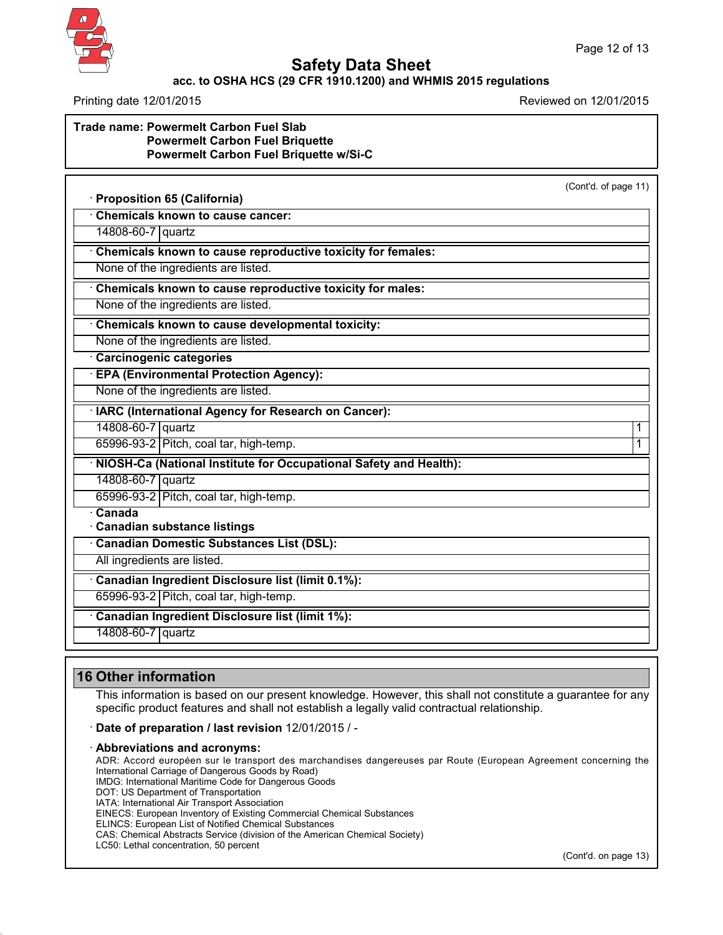

### **acc. to OSHA HCS (29 CFR 1910.1200) and WHMIS 2015 regulations**

Printing date 12/01/2015 Reviewed on 12/01/2015

| Trade name: Powermelt Carbon Fuel Slab<br><b>Powermelt Carbon Fuel Briquette</b><br><b>Powermelt Carbon Fuel Briquette w/Si-C</b> |
|-----------------------------------------------------------------------------------------------------------------------------------|
| · Proposition 65 (California)                                                                                                     |
| Chemicals known to cause cancer:                                                                                                  |
| 14808-60-7   quartz                                                                                                               |

· **Chemicals known to cause reproductive toxicity for females:**

None of the ingredients are listed.

· **Chemicals known to cause reproductive toxicity for males:**

None of the ingredients are listed.

· **Chemicals known to cause developmental toxicity:**

None of the ingredients are listed.

· **Carcinogenic categories**

· **EPA (Environmental Protection Agency):**

None of the ingredients are listed.

· **IARC (International Agency for Research on Cancer):**

14808-60-7 quartz 1

65996-93-2 Pitch, coal tar, high-temp. 1

· **NIOSH-Ca (National Institute for Occupational Safety and Health):**

14808-60-7 quartz

65996-93-2 Pitch, coal tar, high-temp.

· **Canada** · **Canadian substance listings**

· **Canadian Domestic Substances List (DSL):**

All ingredients are listed.

· **Canadian Ingredient Disclosure list (limit 0.1%):**

65996-93-2 Pitch, coal tar, high-temp.

· **Canadian Ingredient Disclosure list (limit 1%):**

14808-60-7 quartz

## **16 Other information**

42.0.1

This information is based on our present knowledge. However, this shall not constitute a guarantee for any specific product features and shall not establish a legally valid contractual relationship.

#### · **Date of preparation / last revision** 12/01/2015 / -

#### · **Abbreviations and acronyms:**

ADR: Accord européen sur le transport des marchandises dangereuses par Route (European Agreement concerning the International Carriage of Dangerous Goods by Road) IMDG: International Maritime Code for Dangerous Goods DOT: US Department of Transportation IATA: International Air Transport Association EINECS: European Inventory of Existing Commercial Chemical Substances ELINCS: European List of Notified Chemical Substances CAS: Chemical Abstracts Service (division of the American Chemical Society) LC50: Lethal concentration, 50 percent

(Cont'd. on page 13)

(Cont'd. of page 11)